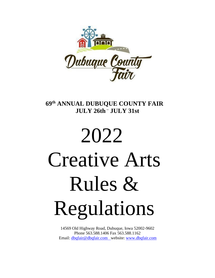

# **69 th ANNUAL DUBUQUE COUNTY FAIR JULY 26th – JULY 31st**

# 2022 Creative Arts Rules & Regulations

14569 Old Highway Road, Dubuque, Iowa 52002-9602 Phone 563.588.1406 Fax 563.588.1162 Email: [dbqfair@dbqfair.com](mailto:dbqfair@dbqfair.com) website: [www.dbqfair.com](http://www.dbqfair.com/)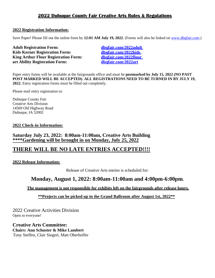## **2022 Dubuque County Fair Creative Arts Rules & Regulations**

## **2022 Registration Information:**

Save Paper! Please fill out the online form by 12:01 AM July 19, 2022. (Forms will also be linked on [www.dbqfair.com.](www.dbqfair.com))

**Adult Registration [Form: dbqfair.com/2022adult](http://www.dbqfair.com/2016adult) Kids Korner Registration [Form: dbqfair.com/2022kids](http://www.dbqfair.com/2016kids) King Arthur Flour Registration [Form: dbqfair.com/2022flour](http://www.dbqfair.com/2016flour) art Ability Registration [Form: dbqfair.com/2022art](http://www.dbqfair.com/2016art)**

Paper entry forms will be available at the fairgrounds office and must be **postmarked by July 15, 2022 (NO PAST POST MARKED WILL BE ACCEPTED)**. **ALL REGISTRATIONS NEED TO BE TURNED IN BY JULY 19, 2022.** Entry registration forms must be filled out completely.

Please mail entry registration to:

Dubuque County Fair Creative Arts Division 14569 Old Highway Road Dubuque, IA 52002

## **2022 Check-in Information:**

**Saturday July 23, 2022: 8:00am-11:00am, Creative Arts Building \*\*\*\*Gardening will be brought in on Monday, July 25, 2022**

## **THERE WILL BE NO LATE ENTRIES ACCEPTED!!!!**

**2022 Release Information:**

Release of Creative Arts entries is scheduled for:

## **Monday, August 1, 2022: 8:00am-11:00am and 4:00pm-6:00pm.**

**The management is not responsible for exhibits left on the fairgrounds after release hours.**

 **\*\*Projects can be picked up in the Grand Ballroom after August 1st, 2022\*\***

2022 Creative Activities Division Open to everyone!

**Creative Arts Committee: Chairs: Ann Schuster & Mike Lambert**  Tony Steffen, Clair Siegert, Matt Oberhoffer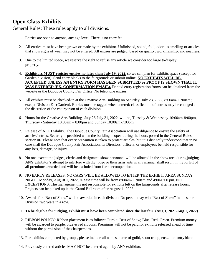## **Open Class Exhibits**:

General Rules: These rules apply to all divisions.

- 1. Entries are open to anyone, any age level. There is no entry fee.
- 2. All entries must have been grown or made by the exhibitor. Unfinished, soiled, foul, odorous smelling or articles that show signs of wear may not be entered. All entries are judged, based on quality, workmanship, and neatness.
- 3. Due to the limited space, we reserve the right to refuse any article we consider too large todisplay properly.
- 4. **Exhibitors MUST register entries no later than July 19, 2022,** so we can plan for exhibits space (except for Garden division). Send entry blanks to the fairgrounds or submit online. **NO EXHIBITS WILL BE ACCEPTED UNLESS AN ENTRY FORM HAS BEEN SUBMITTED or PROOF IS SHOWN THAT IT WAS ENTERED (EX. CONFIRMATION EMAIL).** Printed entry registration forms can be obtained from the website or the Dubuque County Fair Office. No telephone entries.
- 5. All exhibits must be checked-in at the Creative Arts Building on Saturday, July 23, 2022, 8:00am-11:00am; except Division E - (Garden). Entries must be tagged when entered; classification of entries may be changed at the discretion of the chairperson of each division.
- 6. Hours for the Creative Arts Building- July 26-July 31, 2022, will be, Tuesday & Wednesday 10:00am-8:00pm, Thursday - Saturday 10:00am – 8:00pm and Sunday 10:00am-7:00pm.
- 7. Release of ALL Liability. The Dubuque County Fair Association will use diligence to ensure the safety of articles/entries. Security is provided when the building is open during the hours posted in the General Rules section #6. Please note that every precaution is taken to protect articles, but it is distinctly understood that in no case shall the Dubuque County Fair Association, its Directors, officers, or employees be held responsible for any loss, damage, or injury.
- 8. No one except the judges, clerks and designated show personnel will be allowed in the show area during judging. **ANY** exhibitor's attempt to interfere with the judge or their assistants in any manner shall result in the forfeit of all premiums awarded and will be excluded from further competition.
- 9. NO EARLY RELEASES. NO CARS WILL BE ALLOWED TO ENTER THE EXHIBIT AREA SUNDAY NIGHT. Monday, August 1, 2022, release time will be from 8:00am-11:00am and 4:00-6:00 pm. NO EXCEPTIONS. The management is not responsible for exhibits left on the fairgrounds after release hours. Projects can be picked up in the Grand Ballroom after August 1, 2022.
- 10. Awards for "Best of Show" will be awarded in each division. No person may win "Best of Show" in the same Division two years in a row.

## **11. To be eligible for judging, exhibit must have been completed since the last fair. (Aug 1, 2021-Aug 1, 2022)**

- 12. RIBBON POLICY: Ribbon placement is as follows: Purple: Best of Show; Blue, Red, Green. Premium money will be awarded to purple, blue & red ribbons. Premiums will not be paid for exhibits released ahead of time without the permission of the chairpersons.
- 13. For exhibits completed by groups, please include all names, name of guild, scout troop, etc.… on entry blank.
- 14. Previously entered articles MAY NOT be entered again by ANY exhibitor.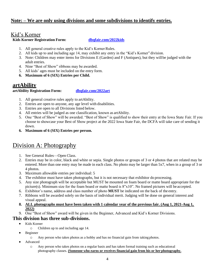## **Note: – We are only using divisions and some subdivisions to identify entries.**

## Kid's Korner

## **Kids Korner Registration Form: [dbqfair.com/2022kids](http://www.dbqfair.com/2016kids)**

- 1. All general creative rules apply to the Kid's Korner Rules.
- 2. All kids up to and including age 14, may exhibit any entry in the "Kid's Korner" division.
- 3. Note: Children may enter items for Divisions E (Garden) and F (Antiques), but they willbe judged with the adult entries.
- 4. Nine "Best of Show" ribbons may be awarded.
- 5. All kids' ages must be included on the entry form.
- **6. Maximum of 6 (SIX) Entries per Child.**

## **artAbility**

**artAbility Registration Form: [dbqfair.com/2022art](http://www.dbqfair.com/2016art)**

- 1. All general creative rules apply to artAbility.
- 2. Entries are open to anyone, any age level with disabilities.
- 3. Entries are open to all Divisions listed below.
- 4. All entries will be judged as one classification, known as artAbility.
- 5. One "Best of Show" will be awarded. "Best of Show" is qualified to show their entry at the Iowa State Fair. If you choose to showcase your Best of Show project at the 2022 Iowa State Fair, the DCFA will take care of sending it down.
- **6. Maximum of 6 (SIX) Entries per person.**

# Division A: Photography

- 1. See General Rules—Open Class.
- 2. Entries may be in color, black and white or sepia. Single photos or groups of 3 or 4 photos that are related may be entered. More than one entry may be made in each class. No photo may be larger than 5x7, when in a group of 3 or 4 photos.
- 3. Maximum allowable entries per individual: 5
- 4. The exhibitor must have taken photographs, but it is not necessary that exhibitor do processing.
- 5. Any size photograph will be acceptable but MUST be mounted on foam board or matte board appropriate for the picture(s). Minimum size for the foam board or matte board is 8"x10". No framed pictures will be accepted.
- 6. Exhibitor's name, address and class number of photo **MUST** be indicated on the back of the entry.
- 7. Ribbons will be awarded solely on the basis of individual merit. Judging will be done on general interest and visual appeal.
- **8. ALL photographs must have been taken with 1 calendar year of the previous fair. (Aug 1, 2021-Aug 1, 2022)**
- 9. One "Best of Show" award will be given in the Beginner, Advanced and Kid's Korner Divisions.

## **This division has three sub-divisions.**

- Kids Korner
	- o Children up to and including age 14.
- **Beginner** 
	- o Any person who takes photos as a hobby and has no financial gain from taking photos.
- Advanced
	- o Any person who takes photos on a regular basis and has taken formal training such as educational photography classes. **(Someone who earns or receives financial gain from his or her photography.**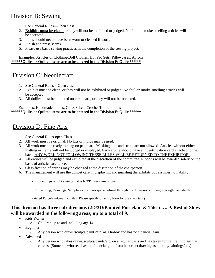# Division B: Sewing

- 1. See General Rules—Open class.
- 2. **Exhibits must be clean,** or they will not be exhibited or judged. No foul or smoke smelling articles will be accepted.
- 3. Items should never have been worn or cleaned if worn.
- 4. Finish and press seams.
- 5. Please use basic sewing practices in the completion of the sewing project.

Examples: Articles of Clothing/Doll Clothes, Hot Pad Sets, Pillowcases, Aprons **\*\*\*\*\*\*Quilts or Quilted items are to be entered in the Division F: Quilts\*\*\*\*\*\***

# Division C: Needlecraft

- 1. See General Rules—Open class.
- 2. Exhibits must be clean, or they will not be exhibited or judged. No foul or smoke smelling articles will be accepted.
- 3. All doilies must be mounted on cardboard, or they will not be accepted.

#### Examples: Handmade dollies, Cross Stitch, Crochet/Knitted Items **\*\*\*\*\*\*Quilts or Quilted items are to be entered in the Division F: Quilts\*\*\*\*\*\***

# Division D: Fine Arts

- 1. See General Rules-open Class.
- 2. All work must be original. No kits or molds may be used.
- 3. All work must be ready to hang on pegboard. Masking tape and string are not allowed. Articles without either matting or frame will not be judged or displayed. Each article should have an identification card attached to the back. ANY WORK NOT FOLLOWING THESE RULES WILL BE RETURNED TO THEEXHIBITOR.
- 4. All entries will be judged and exhibited at the discretion of the committee. Ribbons will be awarded solely on the basis of artistic excellence.
- 5. Classification of entries may be changed at the discretion of the chairperson.
- 6. The management will use the utmost care in displaying and guarding the exhibits but assumes no liability.

2D: Paintings and Drawings that is **NOT** three dimensional

3D: Painting, Drawings, Sculptures occupies space defined through the dimensions of height, weight, and depth

Painted Porcelain/Ceramic Tiles (Please specify on entry form for the entry tags)

## **This division has three sub-divisions (2D/3D/Painted Porcelain & Tiles) …. A Best of Show will be awarded in the following areas, up to a total of 9.**

- Kids Korner
	- o Children up to and including age 14.
- Beginner
	- o Any person who draws/sculpts/paints/etc. as a hobby and has no financial gain.
- Advanced
	- o Any person who takes draws/sculpts/paints/etc. on a regular basis and has taken formal training such as classes. (Someone who receives no financial gain from his or her drawings/sculpting/paintings/etc.)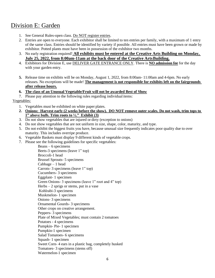# Division E: Garden

- 1. See General Rules-open class. Do NOT register entries.
- 2. Entries are open to everyone. Each exhibitor shall be limited to ten entries per family, with a maximum of 1 entry of the same class. Entries should be identified by variety if possible. All entries must have been grown or made by exhibitor. Potted plants must have been in possession of the exhibitor two months.
- 3. No early registration required! **All exhibits must be entered at the Creative Arts Building on Monday, July 25, 2022, from 8:00am-11am at the back door of the Creative Arts Building.**
- 4. Exhibitors for Division E, use DELIVER GATE ENTRANCE ONLY. There is **NO admission fee** for the day with your garden entry.
- **5.** Release time on exhibits will be on Monday, August 1, 2022, from 8:00am- 11:00am and 4-6pm. No early releases. No exceptions will be made! **The management is not responsible for exhibits left on the fairgrounds after release hours.**
- **6. The class of an Unusual Vegetable/Fruit will not be awarded Best of Show**
- 7. Please pay attention to the following rules regarding individual items:

## Vegetables:

- 1. Vegetables must be exhibited on white paper plates.
- **2. Onions: Harvest early (2 weeks before the show). DO NOT remove outer scales. Do not wash, trim tops to 1" above bulb. Trim roots to ½." Exhibit (3)**
- 3. Do not show vegetables that are injured or dirty (exception to onions)
- 4. Do not show vegetables that are not uniform in size, shape, color, maturity, and type.
- 5. Do not exhibit the biggest fruits you have, because unusual size frequently indicates poor quality due to over maturity. This includes overripe produce.
- 6. Vegetable Baskets must display 9 different kinds of vegetable crops.
- 7. Please see the following guidelines for specific vegetables:

Beans – 6 specimens

Beets-3 specimens (leave 1" top) Broccoli-1 head Brussel Sprouts- 5 specimens  $Cabbage - 1 head$ Carrots- 3 specimens (leave 1" top) Cucumbers- 3 specimens Eggplant- 1 specimen Green Onions- 3 specimens (leave 1" root and 4" top) Herbs  $-2$  sprigs or stems, put in a vase Kohlrabi-3 specimens Muskmelon- 1 specimen Onions- 3 specimens Ornamental Gourds- 3 specimens Other crops on creative arrangement. Peppers- 3 specimens Plate of Mixed Vegetables; must contain 2 tomatoes Potatoes - 4 specimens Pumpkin- Pie- 1 specimen Pumpkin-1 specimen Salad Tomatoes- 6 specimens Squash- 1 specimen Sweet Corn- 4 ears in a plastic bag, completely husked Tomatoes- 3 specimens (stems off) Watermelon-1 specimen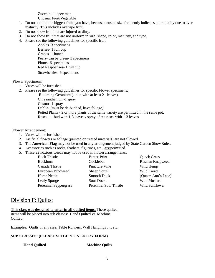Zucchini- 1 specimen

Unusual Fruit/Vegetable

- 1. Do not exhibit the biggest fruits you have, because unusual size frequently indicates poor quality due to over maturity. This includes overripe fruit.
- 2. Do not show fruit that are injured or dirty.
- 3. Do not show fruit that are not uniform in size, shape, color, maturity, and type.
- 4. Please see the following guidelines for specific fruit:

Apples- 3 specimens Berries- 1 full cup Grapes- 1 bunch Pears- can be green- 3 specimens Plums- 6 specimens Red Raspberries- 1 full cup Strawberries- 6 specimens

## Flower Specimens:

- 1. Vases will be furnished.
- 2. Please see the following guidelines for specific Flower specimens:

Blooming Geranium (1 slip with at least 2 leaves)

Chrysanthemum-1 spray Cosmos-1 spray

Dahlia- (must be de-budded, have foliage)

Potted Plants - 2 or more plants of the same variety are permitted in the same pot. Roses – 1 bud with 1-3 leaves / spray of tea roses with 1-3 leaves

#### Flower Arrangement:

- 1. Vases will be furnished.
- 2. Artificial flowers or foliage (painted or treated materials) are not allowed.
- 3. The **American Flag** may not be used in any arrangement judged by State Garden Show Rules.
- 4. Accessories such as rocks, feathers, figurines, etc., **are** permitted.
- 5. These 22 noxious weeds may not be used in flower arrangements:

| <b>Buck Thistle</b>   | Butter-Print          | <b>Quack Grass</b> |
|-----------------------|-----------------------|--------------------|
| <b>Buckhorn</b>       | Cocklebur             | Russian Knapweed   |
| Canada Thistle        | Puncture Vine         | Wild Hemp          |
| European Bindweed     | Sheep Sorrel          | <b>Wild Carrot</b> |
| <b>Horse Nettle</b>   | Smooth Dock           | (Queen Ann's Lace) |
| Leafy Spurge          | Sour Dock             | Wild Mustard       |
| Perennial Peppergrass | Perennial Sow Thistle | Wild Sunflower     |
|                       |                       |                    |

## Division F: Quilts:

**This class was designed to enter in all quilted items.** These quilted items will be placed into sub classes: Hand Quilted vs. Machine Quilted.

Examples: Quilts of any size, Table Runners, Wall Hangings …. etc.

## **SUB CLASSES: (PLEASE SPECIFY ON ENTRY FORM)**

**Hand Quilted Machine Quilts**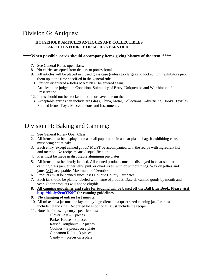# Division G: Antiques:

## **HOUSEHOLD ARTICLES ANTIQUES AND COLLECTIBLES ARTICLES FOURTY OR MORE YEARS OLD**

#### **\*\*\*\*When possible, cards should accompany items giving history of the item. \*\*\*\***

- 7. See General Rules-open class.
- 8. No entries accepted from dealers or professionals.
- 9. All articles will be placed in closed glass case (unless too large) and locked, until exhibitors pick them up at the time specified in the general rules.
- 10. Previously entered articles MAY NOT be entered again.
- 11. Articles to be judged on Condition, Suitability of Entry, Uniqueness and Worthiness of Preservation.
- 12. Items should not be cracked, broken or have tape on them.
- 13. Acceptable entries can include are Glass, China, Metal, Collections, Advertising, Books, Textiles, Framed Items, Toys, Miscellaneous and Instruments.

# Division H: Baking and Canning:

- 1. See General Rules- Open Class
- 2. All items must be displayed on a small paper plate in a clear plastic bag. If exhibiting cake, must bring entire cake.
- 3. Each entry (except canned goods) MUST be accompanied with the recipe with ingredient list and method. No recipe means disqualification.
- 4. Pies must be made in disposable aluminum pie plates.
- 5. All items must be clearly labeled. All canned products must be displayed in clear standard canning glass jars, either jelly, pint, or quart sizes, with or without rings. Wax on jellies and jams NOT acceptable. Maximum of 10 entries.
- 6. Products must be canned since last Dubuque County Fair dates.
- 7. Each jar should be plainly labeled with name of product. Date all canned goods by month and year. Older products will not be eligible.
- **8. All canning guidelines and rules for judging will be based off the Ball Blue Book. Please visit <http://bit.ly/2cmYK9C> for canning guidelines.**

## **9. No changing of entries last minute.**

- 10. All mixes in a jar must be layered by ingredients in a quart sized canning jar. Jar must include lid and ring. Decorated lid is optional. Must include the recipe.
- 11. Note the following entry-specific rules:

Clover Leaf – 3 pieces Parker House – 3 pieces Raised Doughnuts – 3 pieces Cookies  $-3$  pieces on a plate Cinnamon Rolls – 3 pieces Candy  $-4$  pieces on a plate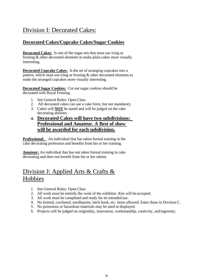# Division I: Decorated Cakes:

## **Decorated Cakes/Cupcake Cakes/Sugar Cookies**

**Decorated Cakes:** Is one of the sugar arts that must use icing or frosting & other decorated elements to make plain cakes more visually interesting.

**Decorated Cupcake Cakes:** Is the art of arranging cupcakes into a pattern, which must use icing or frosting & other decorated elements to make the arranged cupcakes more visually interesting.

**Decorated Sugar Cookies:** Cut out sugar cookies should be decorated with Royal Frosting.

- 1. See General Rules- Open Class
- 2. All decorated cakes can use a cake form, but not mandatory.
- 3. Cakes will **NOT** be tasted and will be judged on the cake decorating abilities.
- **4. Decorated Cakes will have two subdivisions: Professional and Amateur. A Best of show will be awarded for each subdivision.**

**Professional:** An individual that has taken formal training in the cake decorating profession and benefits from his or her training.

**Amateur:** An individual that has not taken formal training in cake decorating and does not benefit from his or her talents

# Division J: Applied Arts & Crafts & Hobbies

- 1. See General Rules- Open Class
- 2. All work must be entirely the work of the exhibitor. Kits will be accepted.
- 3. All work must be completed and ready for its intended use.
- 4. No knitted, crocheted, needlepoint, latch hook, etc. items allowed. Enter those in Division C.
- 5. No poisonous or hazardous materials may be used or displayed.
- 6. Projects will be judged on originality, innovation, workmanship, creativity, and ingenuity.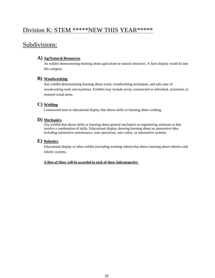## Division K: STEM \*\*\*\*\*NEW THIS YEAR\*\*\*\*\*

## Subdivisions:

## **A) Ag/Natural Resources**

An exhibit demonstrating learning about agriculture or natural resources. A farm display would fit into this category.

#### **B) Woodworking**

Any exhibit demonstrating learning about wood, woodworking techniques, and safe uses of woodworking tools and machines. Exhibits may include newly constructed or refinished, reclaimed, or restored wood items.

## **C) Welding**

Constructed item or educational display that shows skills or learning about welding.

#### **D) Mechanics**

Any exhibit that shows skills or learning about general mechanics or engineering solutions or that involve a combination of skills. Educational display showing learning about an automotive idea including automotive maintenance, auto operations, auto safety, or automotive systems.

## **E) Robotics**

Educational display or other exhibit (including working robots) that shows learning about robotics and robotic systems.

#### **A Best of Show will be awarded in each of these Subcategories!**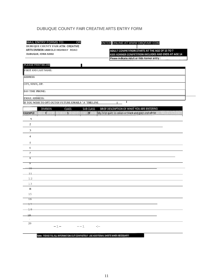## DUBUQUE COUNTY FAIR CREATIVE ARTS ENTRY FORM

#### MAIL ENTRY FORMS TO: OR

**DUBUQUE COUNTY FAIR 14569 OLD HIGHWAY ROAO**DUBUQUE, IOWA 52002

#### ENTER ONLINE AT WWW DBQFAIR COM

ADULT COMPETITION STARTS AT THE AGE OF 15 TO ? KIDS KORNER COMPETITION INCLUDES AND ENDS AT AGE 14 Please indicate Adult or Kids Korner entry :

#### **PLEASE PRINT BELOW**

**FIRST AND LAST NAME: ADDRESS CITY, STATE, ZIP: DAV TIME PHONE: EMAIL ADDRESS:** I

**IF YOU WISH TO OPT OUTOF FUTURE EMAILS "***<sup>X</sup> "***THELINE** I

|                          | <b>DIVISION</b> | CLASS        | <b>SUB CLASS</b> | BRIEF DESCRIPTION OF WHAT YOU ARE ENTERING           |
|--------------------------|-----------------|--------------|------------------|------------------------------------------------------|
| <b>EXAMPLE</b>           | $\mathbf{c}$    | $\mathbf{1}$ | 2F               | My First quilt in colors or black and gold and white |
| $\mathbf 1$              |                 |              |                  |                                                      |
| $\rm{Z}$                 |                 |              |                  |                                                      |
| 3                        |                 |              |                  |                                                      |
| $\overline{4}$           |                 |              |                  |                                                      |
| 5                        |                 |              |                  |                                                      |
| 6                        |                 |              |                  |                                                      |
| $\overline{7}$           |                 |              |                  |                                                      |
| $\overline{8}$           |                 |              |                  |                                                      |
| ᠀                        |                 |              |                  |                                                      |
| $\Box$ 0                 |                 |              |                  |                                                      |
| 11                       |                 |              |                  |                                                      |
| $12$                     |                 |              |                  |                                                      |
| 13                       |                 |              |                  |                                                      |
| $\mathbf{H}$             |                 |              |                  |                                                      |
| 15                       |                 |              |                  |                                                      |
| $\overline{16}$          |                 |              |                  |                                                      |
| 17                       |                 |              |                  |                                                      |
| 18                       |                 |              |                  |                                                      |
| 19.                      |                 |              |                  |                                                      |
| $\overline{\phantom{a}}$ |                 |              |                  |                                                      |
| 20                       | $-1-$           |              | $--1$            | $-\mathbb{I}$ - -                                    |
|                          |                 |              |                  |                                                      |

Note: PLEASE FILL ALL INFORMATION OUT COMPLETELY! USE ADDITIONAL SHEETS WHEN NECESSARY!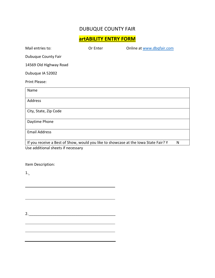## DUBUQUE COUNTY FAIR

**artABILITY ENTRY FORM**

| Mail entries to:                                                                    | Or Enter | Online at www.dbgfair.com |   |
|-------------------------------------------------------------------------------------|----------|---------------------------|---|
| Dubuque County Fair                                                                 |          |                           |   |
| 14569 Old Highway Road                                                              |          |                           |   |
| Dubuque IA 52002                                                                    |          |                           |   |
| Print Please:                                                                       |          |                           |   |
| Name                                                                                |          |                           |   |
| Address                                                                             |          |                           |   |
| City, State, Zip Code                                                               |          |                           |   |
| Daytime Phone                                                                       |          |                           |   |
| <b>Email Address</b>                                                                |          |                           |   |
| If you receive a Best of Show, would you like to showcase at the Iowa State Fair? Y |          |                           | N |
| Use additional sheets if necessary                                                  |          |                           |   |

Item Description:

1.

2. \_\_\_\_\_\_\_\_\_\_\_\_\_\_\_\_\_\_\_\_\_\_\_\_\_\_\_\_\_\_\_\_\_\_\_\_\_\_\_\_\_

<u> 1989 - Johann John Stone, meil in der Stone aus der Stone aus der Stone aus der Stone aus der Stone aus der S</u>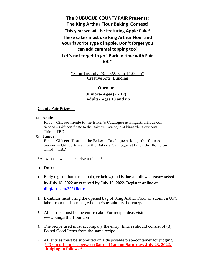**The DUBUQUE COUNTY FAIR Presents: The King Arthur Flour Baking Contest! This year we will be featuring Apple Cake! These cakes must use King Arthur Flour and your favorite type of apple. Don't forget you can add caramel topping too! Let's not forget to go "Back in time with Fair 69!"**

> \*Saturday, July 23, 2022, 8am-11:00am\* Creative Arts Building

## **Open to:**

**Juniors- Ages (7 - 17) Adults- Ages 18 and up**

#### **County Fair Prizes** –

❑ **Adul**t:

First = Gift certificate to the Baker's Catalogue at kingarthurflour.com Second = Gift certificate to the Baker's Catalogue at kingarthurflour.com  $Third = TBD$ 

#### ❑ **Junior:**

First = Gift certificate to the Baker's Catalogue at kingarthurflour.com Second = Gift certificate to the Baker's Catalogue at kingarthurflour.com  $Third = TBD$ 

\*All winners will also receive a ribbon\*

## ❑ **Rules:**

- **1.** Early registration is required (see below) and is due as follows: **Postmarked by July 15, 2022 or received by July 19, 2022. [Register online](http://www.dbqfair.com/2016flour) at [dbqfair.com/2021flour.](http://www.dbqfair.com/2016flour)**
- 2. Exhibitor must bring the opened bag of King Arthur Flour or submit a UPC label from the flour bag when he/she submits the entry.
- 3. All entries must be the entire cake. For recipe ideas visit www.kingarthurflour.com
- 4. The recipe used must accompany the entry. Entries should consist of (3) Baked Good Items from the same recipe.
- 5. All entries must be submitted on a disposable plate/container for judging. **\* Drop off entries between 8am – 11am on Saturday, July 23, 2022. Judging to follow. \***